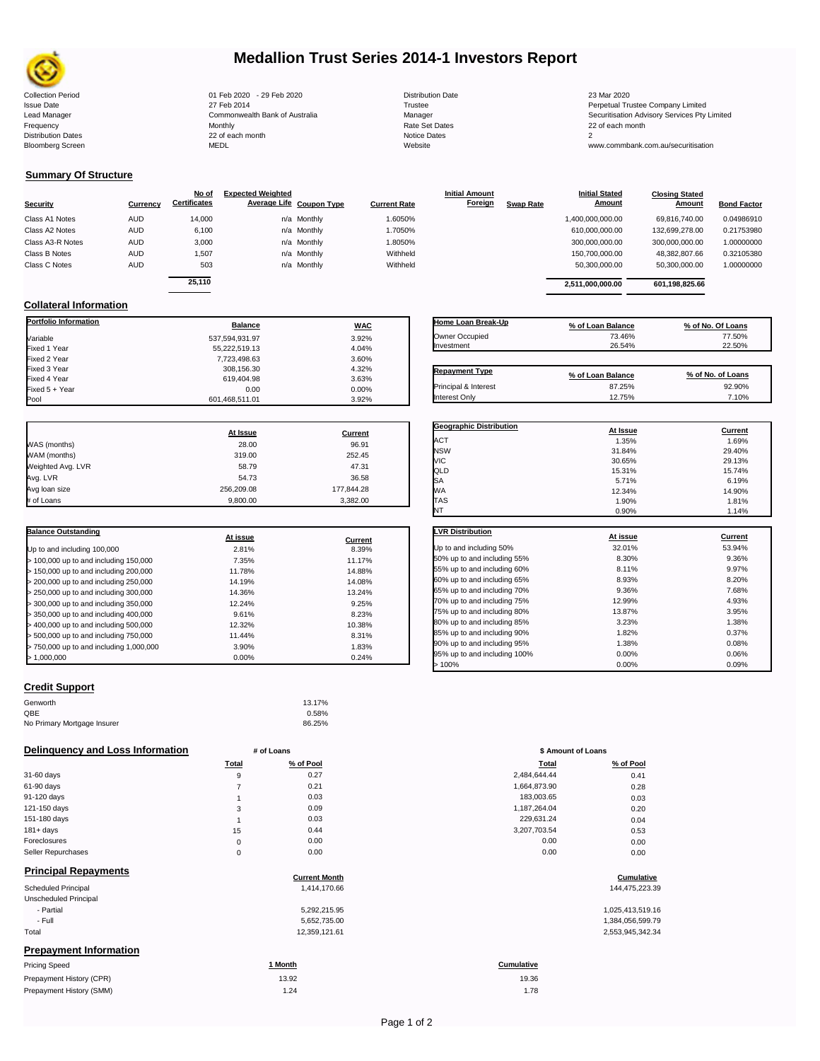

# **Medallion Trust Series 2014-1 Investors Report**

Collection Period 01 Feb 2020 - 29 Feb 2020 Distribution Date 23 Mar 2020 Issue Date 27 Feb 2014 27 Feb 2014<br>Lead Manager Commonwealth Bank of Australia Manager Manager Securitisation Advisory Services Pty Limited Frequency Monthly Rate Set Dates 22 of each month Distribution Dates 22 of each month Notice Dates 2 Bloomberg Screen MEDL Website www.commbank.com.au/securitisation

| <b>Distribution Date</b> |  |
|--------------------------|--|
| Trustee                  |  |
| Manager                  |  |
| Rate Set Dates           |  |
| Notice Dates             |  |
| Website                  |  |

### **Summary Of Structure**

|                  |            | No of               | <b>Expected Weighted</b> |                     | <b>Initial Amount</b> |                  | <b>Initial Stated</b> | <b>Closing Stated</b> |                    |
|------------------|------------|---------------------|--------------------------|---------------------|-----------------------|------------------|-----------------------|-----------------------|--------------------|
| Security         | Currency   | <b>Certificates</b> | Average Life Coupon Type | <b>Current Rate</b> | Foreign               | <b>Swap Rate</b> | Amount                | Amount                | <b>Bond Factor</b> |
| Class A1 Notes   | <b>AUD</b> | 14.000              | n/a Monthly              | 1.6050%             |                       |                  | 1,400,000,000.00      | 69.816.740.00         | 0.04986910         |
| Class A2 Notes   | <b>AUD</b> | 6,100               | n/a Monthly              | 1.7050%             |                       |                  | 610,000,000.00        | 132,699,278.00        | 0.21753980         |
| Class A3-R Notes | <b>AUD</b> | 3,000               | n/a Monthly              | 1.8050%             |                       |                  | 300,000,000.00        | 300,000,000.00        | 1.00000000         |
| Class B Notes    | <b>AUD</b> | 1,507               | n/a Monthly              | Withheld            |                       |                  | 150.700.000.00        | 48,382,807.66         | 0.32105380         |
| Class C Notes    | <b>AUD</b> | 503                 | n/a Monthly              | Withheld            |                       |                  | 50.300.000.00         | 50,300,000.00         | 1.00000000         |
|                  |            | 25.110              |                          |                     |                       |                  | 2,511,000,000.00      | 601,198,825.66        |                    |

#### **Collateral Information**

| <b>Portfolio Information</b> | <b>Balance</b> | <b>WAC</b> |
|------------------------------|----------------|------------|
| Variable                     | 537,594,931.97 | 3.92%      |
| Fixed 1 Year                 | 55,222,519.13  | 4.04%      |
| Fixed 2 Year                 | 7,723,498.63   | 3.60%      |
| Fixed 3 Year                 | 308.156.30     | 4.32%      |
| Fixed 4 Year                 | 619.404.98     | 3.63%      |
| Fixed 5 + Year               | 0.00           | 0.00%      |
| Pool                         | 601.468.511.01 | 3.92%      |

|                   | At Issue   | Current    |
|-------------------|------------|------------|
| WAS (months)      | 28.00      | 96.91      |
| WAM (months)      | 319.00     | 252.45     |
| Weighted Avg. LVR | 58.79      | 47.31      |
| Avg. LVR          | 54.73      | 36.58      |
| Avg loan size     | 256,209.08 | 177.844.28 |
| # of Loans        | 9,800.00   | 3,382.00   |

| <b>Balance Outstanding</b>              | At issue | Current |
|-----------------------------------------|----------|---------|
| Up to and including 100,000             | 2.81%    | 8.39%   |
| $>$ 100,000 up to and including 150,000 | 7.35%    | 11.17%  |
| $> 150,000$ up to and including 200,000 | 11.78%   | 14.88%  |
| > 200,000 up to and including 250,000   | 14.19%   | 14.08%  |
| > 250,000 up to and including 300,000   | 14.36%   | 13.24%  |
| > 300,000 up to and including 350,000   | 12.24%   | 9.25%   |
| > 350,000 up to and including 400,000   | 9.61%    | 8.23%   |
| > 400,000 up to and including 500,000   | 12.32%   | 10.38%  |
| > 500,000 up to and including 750,000   | 11.44%   | 8.31%   |
| > 750,000 up to and including 1,000,000 | 3.90%    | 1.83%   |
| >1.000.000                              | 0.00%    | 0.24%   |

# **Credit Support**

#### Genworth 13.17%  $QBE$  0.58% No Primary Mortgage Insurer 86.25%

### **Delinquency and Loss Information** # of Loans

| Total    | % of Pool | Total        | % of Pool |
|----------|-----------|--------------|-----------|
| 9        | 0.27      | 2,484,644.44 | 0.41      |
|          | 0.21      | 1,664,873.90 | 0.28      |
|          | 0.03      | 183,003.65   | 0.03      |
| 3        | 0.09      | 1,187,264.04 | 0.20      |
|          | 0.03      | 229,631.24   | 0.04      |
| 15       | 0.44      | 3,207,703.54 | 0.53      |
| $\Omega$ | 0.00      | 0.00         | 0.00      |
|          | 0.00      | 0.00         | 0.00      |
|          |           |              |           |

### **Principal Repayments**

| Scheduled Principal           | 1.414.170.66  | 144,475,223.39   |
|-------------------------------|---------------|------------------|
| Unscheduled Principal         |               |                  |
| - Partial                     | 5,292,215.95  | 1,025,413,519.16 |
| - Full                        | 5,652,735.00  | 1,384,056,599.79 |
| Total                         | 12,359,121.61 | 2,553,945,342.34 |
| <b>Prepayment Information</b> |               |                  |

| <b>Pricing Speed</b>     | * Month | Cumulative |
|--------------------------|---------|------------|
| Prepayment History (CPR) | 13.92   | 19.36      |
| Prepayment History (SMM) | 1.24    | 1.78       |

| Home Loan Break-Up | % of Loan Balance | % of No. Of Loans |
|--------------------|-------------------|-------------------|
| Owner Occupied     | 73.46%            | 77.50%            |
| Investment         | 26.54%            | 22.50%            |

| <b>Repayment Type</b> | % of Loan Balance | % of No. of Loans |
|-----------------------|-------------------|-------------------|
| Principal & Interest  | 87.25%            | 92.90%            |
| Interest Only         | 12.75%            | 7.10%             |

| <b>Geographic Distribution</b> | At Issue | <b>Current</b> |
|--------------------------------|----------|----------------|
| ACT                            | 1.35%    | 1.69%          |
| <b>NSW</b>                     | 31.84%   | 29.40%         |
| VIC                            | 30.65%   | 29.13%         |
| QLD                            | 15.31%   | 15.74%         |
| <b>SA</b>                      | 5.71%    | 6.19%          |
| <b>WA</b>                      | 12.34%   | 14.90%         |
| TAS                            | 1.90%    | 1.81%          |
| NT                             | 0.90%    | 1.14%          |

| <b>LVR Distribution</b>      | At issue | Current |
|------------------------------|----------|---------|
| Up to and including 50%      | 32.01%   | 53.94%  |
| 50% up to and including 55%  | 8.30%    | 9.36%   |
| 55% up to and including 60%  | 8.11%    | 9.97%   |
| 60% up to and including 65%  | 8.93%    | 8.20%   |
| 65% up to and including 70%  | 9.36%    | 7.68%   |
| 70% up to and including 75%  | 12.99%   | 4.93%   |
| 75% up to and including 80%  | 13.87%   | 3.95%   |
| 80% up to and including 85%  | 3.23%    | 1.38%   |
| 85% up to and including 90%  | 1.82%    | 0.37%   |
| 90% up to and including 95%  | 1.38%    | 0.08%   |
| 95% up to and including 100% | 0.00%    | 0.06%   |
| 100%                         | 0.00%    | 0.09%   |

| # of Loans  |           |              | \$ Amount of Loans |  |  |
|-------------|-----------|--------------|--------------------|--|--|
| Total       | % of Pool | Total        | % of Pool          |  |  |
| 9           | 0.27      | 2,484,644.44 | 0.41               |  |  |
| 7           | 0.21      | 1,664,873.90 | 0.28               |  |  |
| 1           | 0.03      | 183,003.65   | 0.03               |  |  |
| 3           | 0.09      | 1,187,264.04 | 0.20               |  |  |
| 1           | 0.03      | 229,631.24   | 0.04               |  |  |
| 15          | 0.44      | 3,207,703.54 | 0.53               |  |  |
| $\mathbf 0$ | 0.00      | 0.00         | 0.00               |  |  |
| $\mathbf 0$ | 0.00      | 0.00         | 0.00               |  |  |

# **Current Month Cumulative**